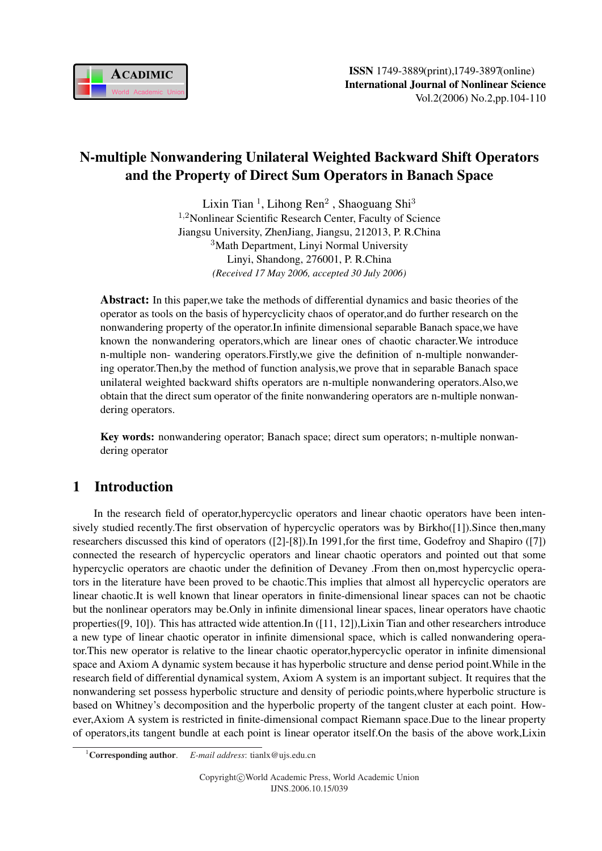

# N-multiple Nonwandering Unilateral Weighted Backward Shift Operators and the Property of Direct Sum Operators in Banach Space

Lixin Tian<sup>1</sup>, Lihong Ren<sup>2</sup>, Shaoguang Shi<sup>3</sup> <sup>1</sup>,2Nonlinear Scientific Research Center, Faculty of Science Jiangsu University, ZhenJiang, Jiangsu, 212013, P. R.China <sup>3</sup>Math Department, Linyi Normal University Linyi, Shandong, 276001, P. R.China *(Received 17 May 2006, accepted 30 July 2006)*

Abstract: In this paper,we take the methods of differential dynamics and basic theories of the operator as tools on the basis of hypercyclicity chaos of operator,and do further research on the nonwandering property of the operator.In infinite dimensional separable Banach space,we have known the nonwandering operators,which are linear ones of chaotic character.We introduce n-multiple non- wandering operators.Firstly,we give the definition of n-multiple nonwandering operator.Then,by the method of function analysis,we prove that in separable Banach space unilateral weighted backward shifts operators are n-multiple nonwandering operators.Also,we obtain that the direct sum operator of the finite nonwandering operators are n-multiple nonwandering operators.

Key words: nonwandering operator; Banach space; direct sum operators; n-multiple nonwandering operator

# 1 Introduction

In the research field of operator,hypercyclic operators and linear chaotic operators have been intensively studied recently.The first observation of hypercyclic operators was by Birkho([1]).Since then,many researchers discussed this kind of operators ([2]-[8]).In 1991,for the first time, Godefroy and Shapiro ([7]) connected the research of hypercyclic operators and linear chaotic operators and pointed out that some hypercyclic operators are chaotic under the definition of Devaney .From then on,most hypercyclic operators in the literature have been proved to be chaotic.This implies that almost all hypercyclic operators are linear chaotic.It is well known that linear operators in finite-dimensional linear spaces can not be chaotic but the nonlinear operators may be.Only in infinite dimensional linear spaces, linear operators have chaotic properties([9, 10]). This has attracted wide attention.In ([11, 12]),Lixin Tian and other researchers introduce a new type of linear chaotic operator in infinite dimensional space, which is called nonwandering operator.This new operator is relative to the linear chaotic operator,hypercyclic operator in infinite dimensional space and Axiom A dynamic system because it has hyperbolic structure and dense period point.While in the research field of differential dynamical system, Axiom A system is an important subject. It requires that the nonwandering set possess hyperbolic structure and density of periodic points,where hyperbolic structure is based on Whitney's decomposition and the hyperbolic property of the tangent cluster at each point. However,Axiom A system is restricted in finite-dimensional compact Riemann space.Due to the linear property of operators,its tangent bundle at each point is linear operator itself.On the basis of the above work,Lixin

<sup>1</sup>Corresponding author. *E-mail address*: tianlx@ujs.edu.cn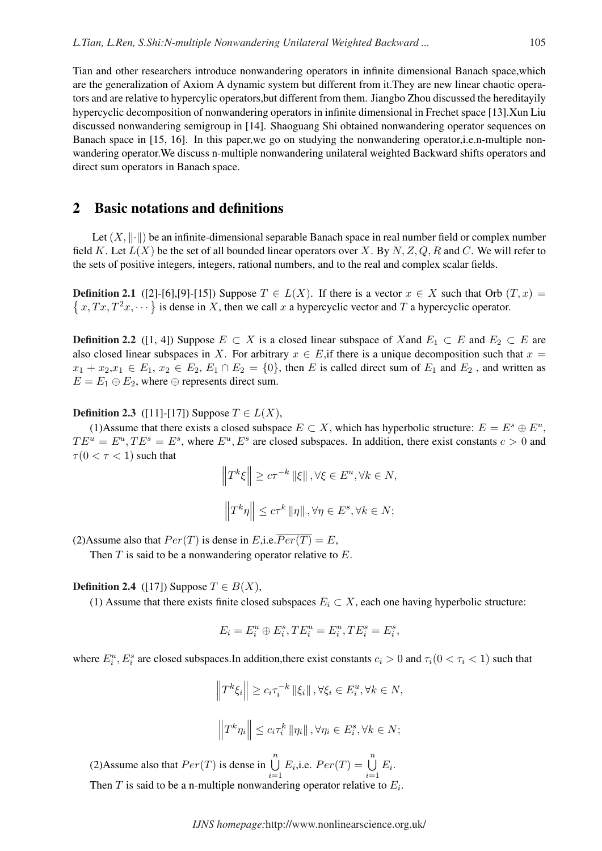Tian and other researchers introduce nonwandering operators in infinite dimensional Banach space,which are the generalization of Axiom A dynamic system but different from it.They are new linear chaotic operators and are relative to hypercylic operators,but different from them. Jiangbo Zhou discussed the hereditayily hypercyclic decomposition of nonwandering operators in infinite dimensional in Frechet space [13].Xun Liu discussed nonwandering semigroup in [14]. Shaoguang Shi obtained nonwandering operator sequences on Banach space in [15, 16]. In this paper,we go on studying the nonwandering operator,i.e.n-multiple nonwandering operator.We discuss n-multiple nonwandering unilateral weighted Backward shifts operators and direct sum operators in Banach space.

#### 2 Basic notations and definitions

Let  $(X, \|\cdot\|)$  be an infinite-dimensional separable Banach space in real number field or complex number field K. Let  $L(X)$  be the set of all bounded linear operators over X. By N, Z, Q, R and C. We will refer to the sets of positive integers, integers, rational numbers, and to the real and complex scalar fields.

**Definition 2.1** ([2]-[6],[9]-[15]) Suppose  $T \in L(X)$ . If there is a vector  $x \in X$  such that Orb  $(T, x) =$ **EMILLOTE 2.1** ([2]-[0],[9]-[15]) suppose  $I \in L(A)$ . It there is a vector  $x \in A$  such that Orb (<br>  $x, Tx, T^2x, \dots$  is dense in X, then we call x a hypercyclic vector and T a hypercyclic operator.

**Definition 2.2** ([1, 4]) Suppose  $E \subset X$  is a closed linear subspace of X and  $E_1 \subset E$  and  $E_2 \subset E$  are also closed linear subspaces in X. For arbitrary  $x \in E$ , if there is a unique decomposition such that  $x =$  $x_1 + x_2, x_1 \in E_1, x_2 \in E_2, E_1 \cap E_2 = \{0\}$ , then E is called direct sum of  $E_1$  and  $E_2$ , and written as  $E = E_1 \oplus E_2$ , where  $\oplus$  represents direct sum.

**Definition 2.3** ([11]-[17]) Suppose  $T \in L(X)$ ,

(1)Assume that there exists a closed subspace  $E \subset X$ , which has hyperbolic structure:  $E = E^s \oplus E^u$ ,  $TE^u = E^u, TE^s = E^s$ , where  $E^u, E^s$  are closed subspaces. In addition, there exist constants  $c > 0$  and  $\tau(0 < \tau < 1)$  such that ° °

$$
\left\|T^{k}\xi\right\| \geq c\tau^{-k}\left\|\xi\right\|, \forall \xi \in E^{u}, \forall k \in N,
$$
  

$$
\left\|T^{k}\eta\right\| \leq c\tau^{k}\left\|\eta\right\|, \forall \eta \in E^{s}, \forall k \in N;
$$

(2)Assume also that  $Per(T)$  is dense in E,i.e.  $\overline{Per(T)} = E$ ,

Then  $T$  is said to be a nonwandering operator relative to  $E$ .

#### **Definition 2.4** ([17]) Suppose  $T \in B(X)$ ,

(1) Assume that there exists finite closed subspaces  $E_i \subset X$ , each one having hyperbolic structure:

$$
E_i = E_i^u \oplus E_i^s, TE_i^u = E_i^u, TE_i^s = E_i^s,
$$

where  $E_i^u$ ,  $E_i^s$  are closed subspaces. In addition, there exist constants  $c_i > 0$  and  $\tau_i(0 < \tau_i < 1)$  such that

$$
\left\|T^{k}\xi_{i}\right\| \geq c_{i}\tau_{i}^{-k} \left\|\xi_{i}\right\|, \forall \xi_{i} \in E_{i}^{u}, \forall k \in N,
$$

$$
\left\|T^{k}\eta_{i}\right\| \leq c_{i}\tau_{i}^{k} \left\|\eta_{i}\right\|, \forall \eta_{i} \in E_{i}^{s}, \forall k \in N;
$$

(2)Assume also that  $Per(T)$  is dense in  $\bigcup^{n}$  $i=1$  $E_i$ , i.e.  $Per(T) = \bigcup^{n}$  $i=1$  $E_i$ . Then T is said to be a n-multiple nonwandering operator relative to  $E_i$ .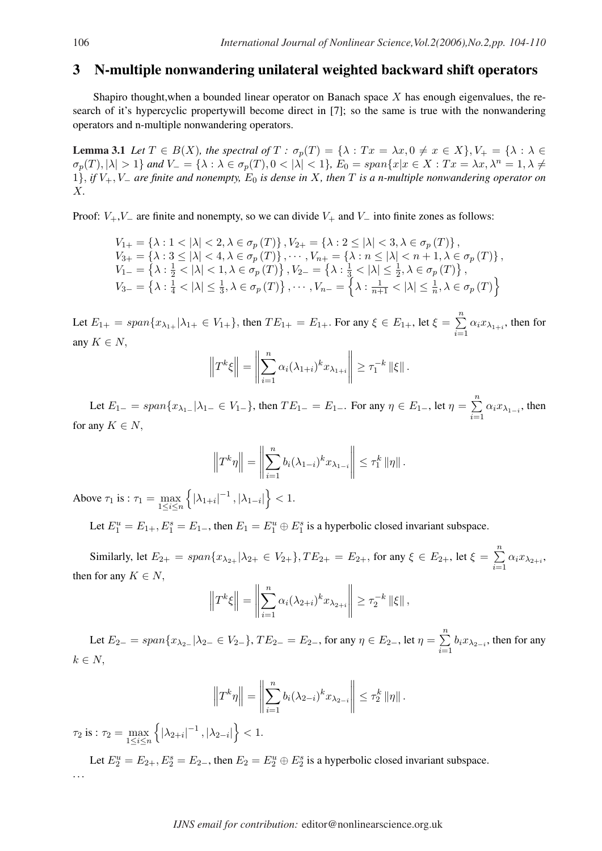## 3 N-multiple nonwandering unilateral weighted backward shift operators

Shapiro thought, when a bounded linear operator on Banach space  $X$  has enough eigenvalues, the research of it's hypercyclic propertywill become direct in [7]; so the same is true with the nonwandering operators and n-multiple nonwandering operators.

**Lemma 3.1** Let  $T \in B(X)$ , the spectral of  $T : \sigma_p(T) = {\lambda : Tx = \lambda x, 0 \neq x \in X}, V_+ = {\lambda : \lambda \in B(X)}$  $\sigma_p(T), |\lambda| > 1$ } and  $V = {\lambda : \lambda \in \sigma_p(T), 0 < |\lambda| < 1}$ ,  $E_0 = span\{x | x \in X : Tx = \lambda x, \lambda^n = 1, \lambda \neq 0\}$ 1}, *if* V+, V<sup>−</sup> *are finite and nonempty,* E<sup>0</sup> *is dense in* X*, then* T *is a n-multiple nonwandering operator on* X*.*

Proof:  $V_+, V_-$  are finite and nonempty, so we can divide  $V_+$  and  $V_-$  into finite zones as follows:

$$
V_{1+} = \{\lambda : 1 < |\lambda| < 2, \lambda \in \sigma_p(T)\}, V_{2+} = \{\lambda : 2 \le |\lambda| < 3, \lambda \in \sigma_p(T)\},
$$
\n
$$
V_{3+} = \{\lambda : 3 \le |\lambda| < 4, \lambda \in \sigma_p(T)\}, \cdots, V_{n+} = \{\lambda : n \le |\lambda| < n+1, \lambda \in \sigma_p(T)\},
$$
\n
$$
V_{1-} = \{\lambda : \frac{1}{2} < |\lambda| < 1, \lambda \in \sigma_p(T)\}, V_{2-} = \{\lambda : \frac{1}{3} < |\lambda| \le \frac{1}{2}, \lambda \in \sigma_p(T)\},
$$
\n
$$
V_{3-} = \{\lambda : \frac{1}{4} < |\lambda| \le \frac{1}{3}, \lambda \in \sigma_p(T)\}, \cdots, V_{n-} = \{\lambda : \frac{1}{n+1} < |\lambda| \le \frac{1}{n}, \lambda \in \sigma_p(T)\}
$$

Let  $E_{1+} = span\{x_{\lambda_{1+}} | \lambda_{1+} \in V_{1+}\}$ , then  $TE_{1+} = E_{1+}$ . For any  $\xi \in E_{1+}$ , let  $\xi =$  $\frac{n}{2}$  $\sum_{i=1} \alpha_i x_{\lambda_{1+i}}$ , then for any  $K \in N$ , ° °

$$
\left\|T^{k}\xi\right\| = \left\|\sum_{i=1}^{n} \alpha_{i}(\lambda_{1+i})^{k} x_{\lambda_{1+i}}\right\| \geq \tau_{1}^{-k} \left\|\xi\right\|.
$$

Let  $E_{1-} = span\{x_{\lambda_{1-}} | \lambda_{1-} \in V_{1-}\}$ , then  $TE_{1-} = E_{1-}$ . For any  $\eta \in E_{1-}$ , let  $\eta =$  $\frac{n}{2}$  $\sum_{i=1} \alpha_i x_{\lambda_{1-i}}$ , then for any  $K \in N$ ,

$$
\left\|T^{k}\eta\right\| = \left\|\sum_{i=1}^{n} b_{i}(\lambda_{1-i})^{k}x_{\lambda_{1-i}}\right\| \leq \tau_{1}^{k} \|\eta\|.
$$

Above  $\tau_1$  is :  $\tau_1 = \max_{1 \le i \le n}$ n  $|\lambda_{1+i}|^{-1}$ ,  $|\lambda_{1-i}|$  $< 1$ .

Let  $E_1^u = E_{1+}$ ,  $E_1^s = E_{1-}$ , then  $E_1 = E_1^u \oplus E_1^s$  is a hyperbolic closed invariant subspace.

Similarly, let  $E_{2+} = span\{x_{\lambda_{2+}} | \lambda_{2+} \in V_{2+}\}, TE_{2+} = E_{2+}$ , for any  $\xi \in E_{2+}$ , let  $\xi =$  $\frac{n}{2}$  $\sum_{i=1} \alpha_i x_{\lambda_{2+i}},$ then for any  $K \in N$ , ° °

$$
\left\|T^{k}\xi\right\| = \left\|\sum_{i=1}^{n} \alpha_{i}(\lambda_{2+i})^{k} x_{\lambda_{2+i}}\right\| \geq \tau_{2}^{-k} \left\|\xi\right\|,
$$

Let  $E_{2-} = span\{x_{\lambda_{2-}} | \lambda_{2-} \in V_{2-}\}, TE_{2-} = E_{2-}$ , for any  $\eta \in E_{2-}$ , let  $\eta =$  $\frac{n}{2}$  $\sum_{i=1} b_i x_{\lambda_{2-i}}$ , then for any  $k \in N$ ,

$$
\left\|T^{k}\eta\right\| = \left\|\sum_{i=1}^{n} b_{i}(\lambda_{2-i})^{k}x_{\lambda_{2-i}}\right\| \leq \tau_{2}^{k} \left\|\eta\right\|.
$$

 $\tau_2$  is :  $\tau_2 = \max_{1 \leq i \leq n}$ n  $|\lambda_{2+i}|^{-1}$ ,  $|\lambda_{2-i}|$ o  $< 1$ .

Let  $E_2^u = E_{2+}$ ,  $E_2^s = E_{2-}$ , then  $E_2 = E_2^u \oplus E_2^s$  is a hyperbolic closed invariant subspace. . . .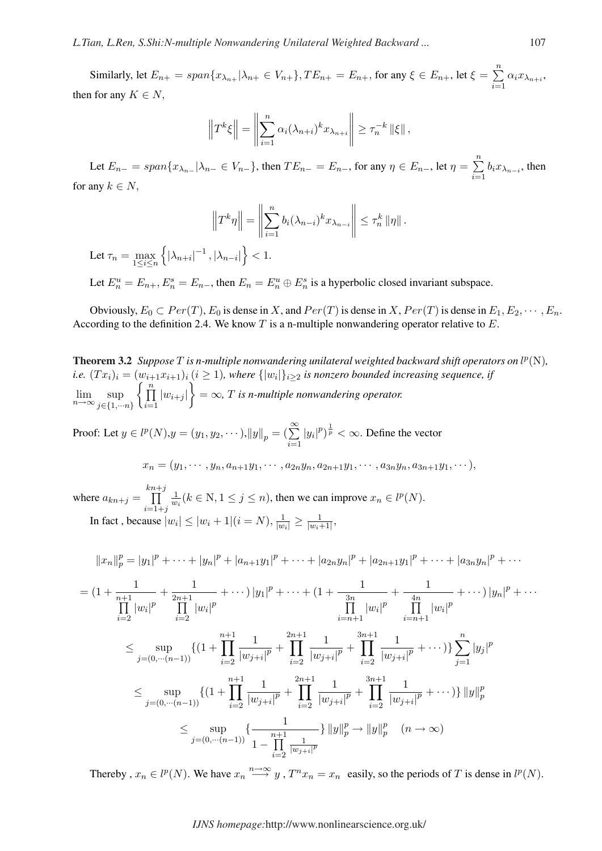Similarly, let  $E_{n+} = span\{x_{\lambda_{n+}} | \lambda_{n+} \in V_{n+}\}\$ ,  $TE_{n+} = E_{n+}$ , for any  $\xi \in E_{n+}$ , let  $\xi =$  $\frac{n}{2}$  $\sum_{i=1} \alpha_i x_{\lambda_{n+i}},$ then for any  $K \in N$ ,

$$
||T^{k}\xi|| = ||\sum_{i=1}^{n} \alpha_i (\lambda_{n+i})^k x_{\lambda_{n+i}}|| \ge \tau_n^{-k} ||\xi||,
$$

Let  $E_{n-} = span\{x_{\lambda_{n-}} | \lambda_{n-} \in V_{n-}\}$ , then  $TE_{n-} = E_{n-}$ , for any  $\eta \in E_{n-}$ , let  $\eta =$  $\frac{n}{2}$  $\sum_{i=1} b_i x_{\lambda_{n-i}}$ , then for any  $k \in N$ ,

$$
\left\|T^k\eta\right\| = \left\|\sum_{i=1}^n b_i(\lambda_{n-i})^k x_{\lambda_{n-i}}\right\| \leq \tau_n^k \|\eta\|.
$$
  

$$
\left\|\sum_{i=1}^n b_i(\lambda_{n-i})\right\| \leq 1.
$$

Let  $\tau_n = \max_{1 \leq i \leq n}$ n  $|\lambda_{n+i}|^{-1}$ ,  $|\lambda_{n-i}|$  $< 1$ .

Let  $E_n^u = E_{n+}, E_n^s = E_{n-}$ , then  $E_n = E_n^u \oplus E_n^s$  is a hyperbolic closed invariant subspace.

Obviously,  $E_0 \subset Per(T)$ ,  $E_0$  is dense in X, and  $Per(T)$  is dense in X,  $Per(T)$  is dense in  $E_1, E_2, \cdots, E_n$ . According to the definition 2.4. We know  $T$  is a n-multiple nonwandering operator relative to  $E$ .

**Theorem 3.2** Suppose  $T$  is n-multiple nonwandering unilateral weighted backward shift operators on  $l^p(N)$ , *i.e.*  $(Tx_i)_i = (w_{i+1}x_{i+1})_i$   $(i \geq 1)$ , where  $\{|w_i|\}_{i \geq 2}$  is nonzero bounded increasing sequence, if  $\lim_{n\to\infty} \sup_{i\in\{1,\dots\}}$  $j \in \{1, \cdots n\}$  $\binom{w_{i+1}}{n}$  $i=1$  $|w_{i+j}|$ ¾  $=$   $\infty$ ,  $T$  *is n-multiple nonwandering operator.* 

Proof: Let  $y \in l^p(N), y = (y_1, y_2, \dots), ||y||_p = (\sum_{i=1}^{\infty}$  $|y_i|^p \big)^{\frac{1}{p}} < \infty$ . Define the vector

$$
x_n = (y_1, \cdots, y_n, a_{n+1}y_1, \cdots, a_{2n}y_n, a_{2n+1}y_1, \cdots, a_{3n}y_n, a_{3n+1}y_1, \cdots),
$$

where  $a_{kn+j} =$  $\frac{kn+j}{n}$  $i=1+j$ 1  $\frac{1}{w_i}$   $(k \in \mathbb{N}, 1 \le j \le n)$ , then we can improve  $x_n \in l^p(N)$ . In fact , because  $|w_i| \leq |w_i + 1| (i = N), \frac{1}{|w_i|} \geq \frac{1}{|w_i|}$  $\frac{1}{|w_i+1|},$ 

$$
||x_n||_p^p = |y_1|^p + \cdots + |y_n|^p + |a_{n+1}y_1|^p + \cdots + |a_{2n}y_n|^p + |a_{2n+1}y_1|^p + \cdots + |a_{3n}y_n|^p + \cdots
$$

$$
= (1 + \frac{1}{n+1} + \frac{1}{2n+1} + \cdots) |y_1|^p + \cdots + (1 + \frac{1}{3n} + \frac{1}{4n} + \cdots) |y_n|^p + \cdots
$$
  
\n
$$
\prod_{i=2}^{\infty} |w_i|^p \prod_{i=2}^{\infty} |w_i|^p
$$
  
\n
$$
\leq \sup_{j=(0,\cdots(n-1))} \{ (1 + \prod_{i=2}^{n+1} \frac{1}{|w_{j+i}|^p} + \prod_{i=2}^{2n+1} \frac{1}{|w_{j+i}|^p} + \prod_{i=2}^{3n+1} \frac{1}{|w_{j+i}|^p} + \cdots) \} \sum_{j=1}^n |y_j|^p
$$
  
\n
$$
\leq \sup_{j=(0,\cdots(n-1))} \{ (1 + \prod_{i=2}^{n+1} \frac{1}{|w_{j+i}|^p} + \prod_{i=2}^{2n+1} \frac{1}{|w_{j+i}|^p} + \prod_{i=2}^{3n+1} \frac{1}{|w_{j+i}|^p} + \cdots) \} ||y||_p^p
$$
  
\n
$$
\leq \sup_{j=(0,\cdots(n-1))} \{ \frac{1}{1 - \prod_{i=2}^{n+1} \frac{1}{|w_{j+i}|^p}} \} ||y||_p^p \to ||y||_p^p \quad (n \to \infty)
$$

Thereby,  $x_n \in l^p(N)$ . We have  $x_n \stackrel{n \to \infty}{\longrightarrow} y$ ,  $T^n x_n = x_n$  easily, so the periods of T is dense in  $l^p(N)$ .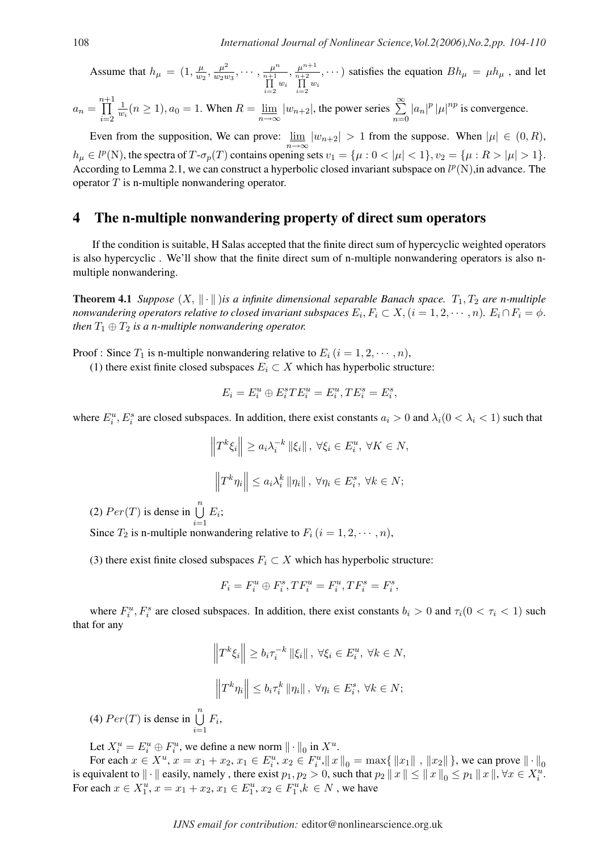Assume that 
$$
h_{\mu} = (1, \frac{\mu}{w_2}, \frac{\mu^2}{w_2 w_3}, \cdots, \frac{\mu^n}{n+1}, \frac{\mu^{n+1}}{n+2}, \cdots)
$$
 satisfies the equation  $Bh_{\mu} = \mu h_{\mu}$ , and let  $\prod_{i=2}^{n} w_i$ 

$$
a_n = \prod_{i=2}^{n+1} \frac{1}{w_i} (n \ge 1), a_0 = 1.
$$
 When  $R = \lim_{n \to \infty} |w_{n+2}|$ , the power series  $\sum_{n=0}^{\infty} |a_n|^p |\mu|^{np}$  is convergence.

Even from the supposition, We can prove:  $\lim_{h \to 0}$  $\lim_{n\to\infty} |w_{n+2}| > 1$  from the suppose. When  $|\mu| \in (0, R)$ ,  $h_{\mu} \in l^p(\mathbb{N})$ , the spectra of  $T \cdot \sigma_p(T)$  contains opening sets  $v_1 = {\mu : 0 < |\mu| < 1}$ ,  $v_2 = {\mu : R > |\mu| > 1}$ . According to Lemma 2.1, we can construct a hyperbolic closed invariant subspace on  $l^p(N)$ , in advance. The operator  $T$  is n-multiple nonwandering operator.

#### 4 The n-multiple nonwandering property of direct sum operators

If the condition is suitable, H Salas accepted that the finite direct sum of hypercyclic weighted operators is also hypercyclic . We'll show that the finite direct sum of n-multiple nonwandering operators is also nmultiple nonwandering.

**Theorem 4.1** *Suppose*  $(X, \|\cdot\|)$ *is a infinite dimensional separable Banach space.*  $T_1, T_2$  *are n-multiple nonwandering operators relative to closed invariant subspaces*  $E_i, F_i \subset X, (i = 1, 2, \cdots, n)$ *.*  $E_i \cap F_i = \phi$ *. then*  $T_1 \oplus T_2$  *is a n-multiple nonwandering operator.* 

Proof : Since  $T_1$  is n-multiple nonwandering relative to  $E_i$   $(i = 1, 2, \dots, n)$ ,

(1) there exist finite closed subspaces  $E_i \subset X$  which has hyperbolic structure:

$$
E_i = E_i^u \oplus E_i^s T E_i^u = E_i^u, T E_i^s = E_i^s,
$$

where  $E_i^u$ ,  $E_i^s$  are closed subspaces. In addition, there exist constants  $a_i > 0$  and  $\lambda_i$  ( $0 < \lambda_i < 1$ ) such that

$$
\left\|T^{k}\xi_{i}\right\| \geq a_{i}\lambda_{i}^{-k} \left\|\xi_{i}\right\|, \ \forall \xi_{i} \in E_{i}^{u}, \ \forall K \in N,
$$

$$
\left\|T^{k}\eta_{i}\right\| \leq a_{i}\lambda_{i}^{k} \left\|\eta_{i}\right\|, \ \forall \eta_{i} \in E_{i}^{s}, \ \forall k \in N;
$$

(2)  $Per(T)$  is dense in  $\bigcup^{n}$  $i=1$  $E_i$ ;

Since  $T_2$  is n-multiple nonwandering relative to  $F_i$   $(i = 1, 2, \dots, n)$ ,

(3) there exist finite closed subspaces  $F_i \subset X$  which has hyperbolic structure:

$$
F_i = F_i^u \oplus F_i^s, TF_i^u = F_i^u, TF_i^s = F_i^s,
$$

where  $F_i^u$ ,  $F_i^s$  are closed subspaces. In addition, there exist constants  $b_i > 0$  and  $\tau_i(0 < \tau_i < 1)$  such that for any

$$
\left\|T^{k}\xi_{i}\right\| \ge b_{i}\tau_{i}^{-k} \left\|\xi_{i}\right\|, \ \forall \xi_{i} \in E_{i}^{u}, \ \forall k \in N,
$$

$$
\left\|T^{k}\eta_{i}\right\| \le b_{i}\tau_{i}^{k} \left\|\eta_{i}\right\|, \ \forall \eta_{i} \in E_{i}^{s}, \ \forall k \in N;
$$

(4)  $Per(T)$  is dense in  $\bigcup^{n}$  $i=1$  $F_i$ 

Let  $X_i^u = E_i^u \oplus F_i^u$ , we define a new norm  $\|\cdot\|_0$  in  $X^u$ .

For each  $x \in X^u$ ,  $x = x_1 + x_2$ ,  $x_1 \in E_i^u$ ,  $x_2 \in F_i^u$ ,  $||x||_0 = \max\{||x_1||, ||x_2||\}$ , we can prove  $|| \cdot ||_0$ is equivalent to  $\|\cdot\|$  easily, namely, there exist  $p_1, p_2 > 0$ , such that  $p_2 \|x\| \leq \|x\|_0 \leq p_1 \|x\|$ ,  $\forall x \in X_i^u$ . For each  $x \in X_1^u$ ,  $x = x_1 + x_2$ ,  $x_1 \in E_1^u$ ,  $x_2 \in F_1^u$ ,  $k \in N$ , we have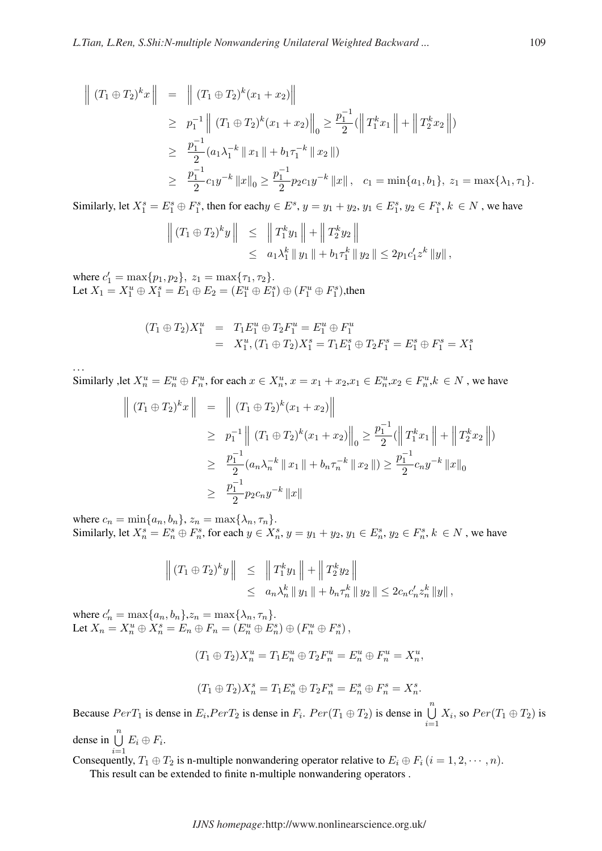$$
\begin{array}{rcl}\n\left\|\ (T_1 \oplus T_2)^k x \right\| & = & \left\|\ (T_1 \oplus T_2)^k (x_1 + x_2) \right\| \\
& \geq & p_1^{-1} \left\|\ (T_1 \oplus T_2)^k (x_1 + x_2) \right\|_0 \geq \frac{p_1^{-1}}{2} (\left\| T_1^k x_1 \right\| + \left\| T_2^k x_2 \right\|) \\
& \geq & \frac{p_1^{-1}}{2} (a_1 \lambda_1^{-k} \left\| x_1 \right\| + b_1 \tau_1^{-k} \left\| x_2 \right\|) \\
& \geq & \frac{p_1^{-1}}{2} c_1 y^{-k} \left\| x \right\|_0 \geq \frac{p_1^{-1}}{2} p_2 c_1 y^{-k} \left\| x \right\|, \quad c_1 = \min\{a_1, b_1\}, \ z_1 = \max\{\lambda_1, \tau_1\}.\n\end{array}
$$

Similarly, let  $X_1^s = E_1^s \oplus F_1^s$ , then for each $y \in E^s$ ,  $y = y_1 + y_2$ ,  $y_1 \in E_1^s$ ,  $y_2 \in F_1^s$ ,  $k \in N$ , we have

$$
\left\| (T_1 \oplus T_2)^k y \right\| \leq \left\| T_1^k y_1 \right\| + \left\| T_2^k y_2 \right\|
$$
  
\$\leq\$  $a_1 \lambda_1^k \left\| y_1 \right\| + b_1 \tau_1^k \left\| y_2 \right\| \leq 2p_1 c_1' z^k \left\| y \right\|,$ 

where  $c'_1 = \max\{p_1, p_2\}, z_1 = \max\{\tau_1, \tau_2\}.$ Let  $X_1 = X_1^u \oplus X_1^s = E_1 \oplus E_2 = (E_1^u \oplus E_1^s) \oplus (F_1^u \oplus F_1^s)$ , then

$$
(T_1 \oplus T_2)X_1^u = T_1 E_1^u \oplus T_2 F_1^u = E_1^u \oplus F_1^u
$$
  
=  $X_1^u$ ,  $(T_1 \oplus T_2)X_1^s = T_1 E_1^s \oplus T_2 F_1^s = E_1^s \oplus F_1^s = X_1^s$ 

. . .

Similarly ,let  $X_n^u = E_n^u \oplus F_n^u$ , for each  $x \in X_n^u$ ,  $x = x_1 + x_2$ ,  $x_1 \in E_n^u$ ,  $x_2 \in F_n^u$ ,  $k \in N$ , we have

$$
\left\| (T_1 \oplus T_2)^k x \right\| = \left\| (T_1 \oplus T_2)^k (x_1 + x_2) \right\|
$$
  
\n
$$
\geq p_1^{-1} \left\| (T_1 \oplus T_2)^k (x_1 + x_2) \right\|_0 \geq \frac{p_1^{-1}}{2} (\left\| T_1^k x_1 \right\| + \left\| T_2^k x_2 \right\|)
$$
  
\n
$$
\geq \frac{p_1^{-1}}{2} (a_n \lambda_n^{-k} \left\| x_1 \right\| + b_n \tau_n^{-k} \left\| x_2 \right\|) \geq \frac{p_1^{-1}}{2} c_n y^{-k} \left\| x \right\|_0
$$
  
\n
$$
\geq \frac{p_1^{-1}}{2} p_2 c_n y^{-k} \left\| x \right\|
$$

where  $c_n = \min\{a_n, b_n\}$ ,  $z_n = \max\{\lambda_n, \tau_n\}$ . Similarly, let  $X_n^s = E_n^s \oplus F_n^s$ , for each  $y \in X_n^s$ ,  $y = y_1 + y_2$ ,  $y_1 \in E_n^s$ ,  $y_2 \in F_n^s$ ,  $k \in N$ , we have

$$
\left\| (T_1 \oplus T_2)^k y \right\| \leq \left\| T_1^k y_1 \right\| + \left\| T_2^k y_2 \right\|
$$
  

$$
\leq a_n \lambda_n^k \| y_1 \| + b_n \tau_n^k \| y_2 \| \leq 2c_n c_n' z_n^k \| y \|,
$$

where  $c'_n = \max\{a_n, b_n\}$ ,  $z_n = \max\{\lambda_n, \tau_n\}$ . Let  $X_n = X_n^u \oplus X_n^s = E_n \oplus F_n = (E_n^u \oplus E_n^s) \oplus (F_n^u \oplus F_n^s)$ ,

 $(T_1 \oplus T_2)X_n^u = T_1E_n^u \oplus T_2F_n^u = E_n^u \oplus F_n^u = X_n^u,$ 

$$
(T_1\oplus T_2)X_n^s=T_1E_n^s\oplus T_2F_n^s=E_n^s\oplus F_n^s=X_n^s.
$$

Because  $PerT_1$  is dense in  $E_i, PerT_2$  is dense in  $F_i$ .  $Per(T_1 \oplus T_2)$  is dense in  $\bigcup_{i=1}^{n}$  $i=1$  $X_i$ , so  $Per(T_1 \oplus T_2)$  is

dense in  $\bigcup_{i=1}^{n} E_i \oplus F_i$ .

Consequently,  $T_1 \oplus T_2$  is n-multiple nonwandering operator relative to  $E_i \oplus F_i$   $(i = 1, 2, \dots, n)$ .

This result can be extended to finite n-multiple nonwandering operators .